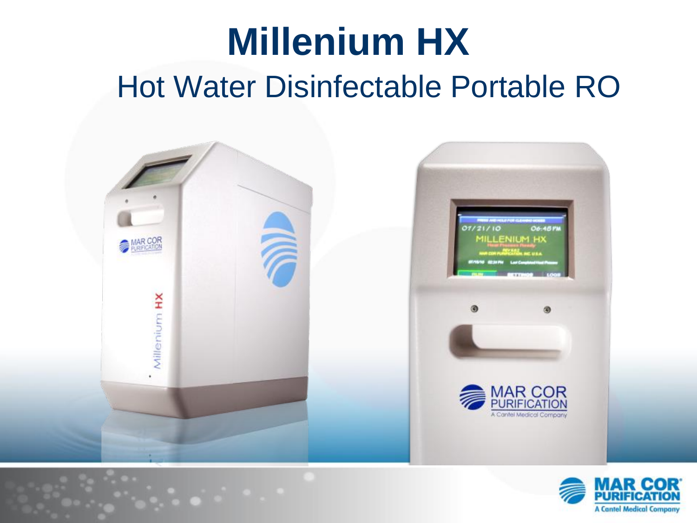### **Millenium HX** Hot Water Disinfectable Portable RO



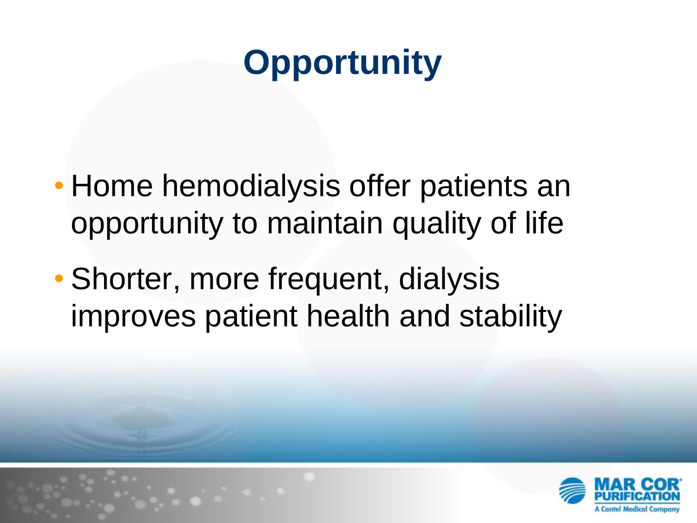### **Opportunity**

- Home hemodialysis offer patients an opportunity to maintain quality of life
- Shorter, more frequent, dialysis improves patient health and stability

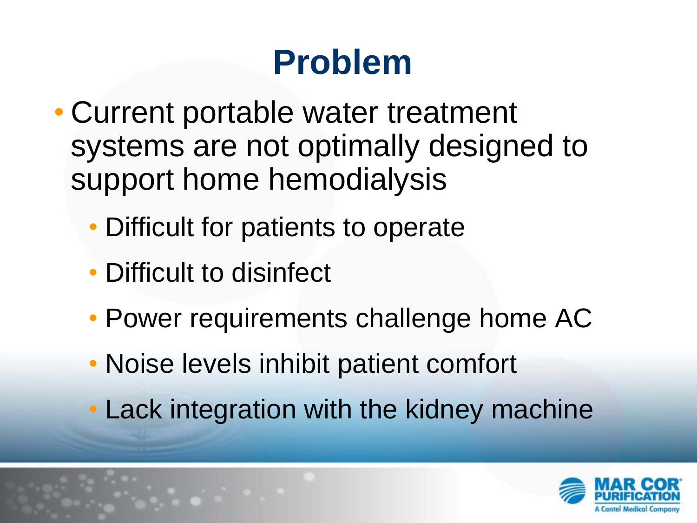#### **Problem**

- Current portable water treatment systems are not optimally designed to support home hemodialysis
	- Difficult for patients to operate
	- Difficult to disinfect
	- Power requirements challenge home AC
	- Noise levels inhibit patient comfort
	- Lack integration with the kidney machine

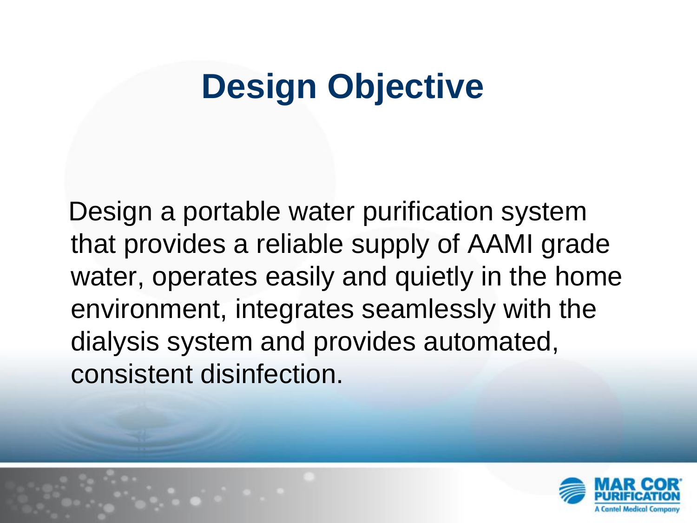### **Design Objective**

 Design a portable water purification system that provides a reliable supply of AAMI grade water, operates easily and quietly in the home environment, integrates seamlessly with the dialysis system and provides automated, consistent disinfection.

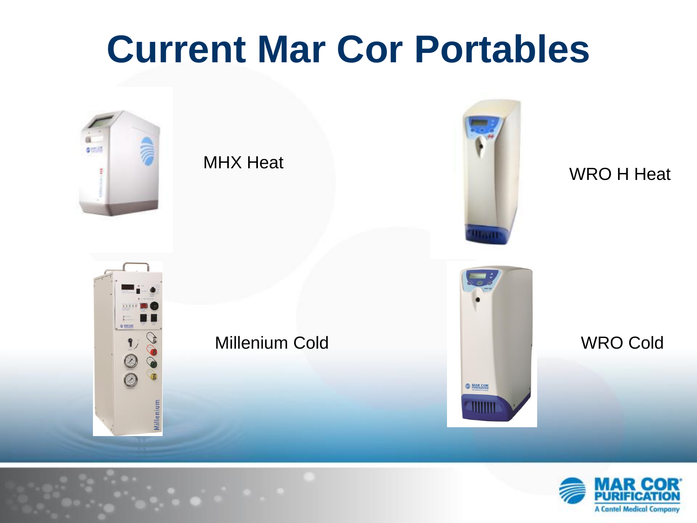# **Current Mar Cor Portables**



MHX Heat



WRO H Heat



Millenium Cold



WRO Cold

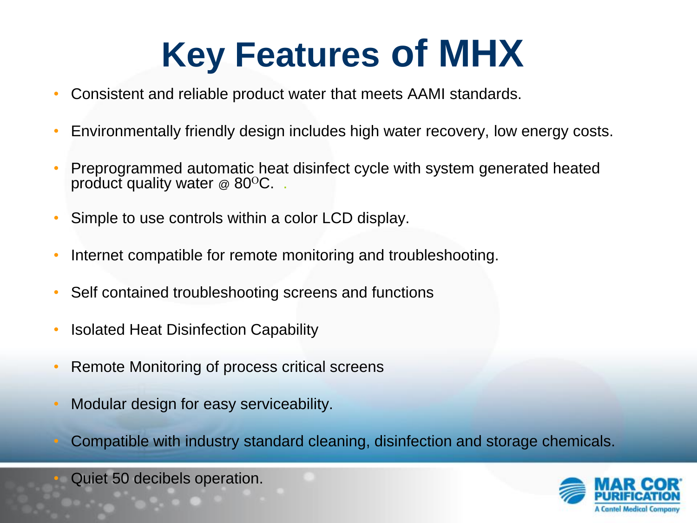# **Key Features of MHX**

- Consistent and reliable product water that meets AAMI standards.
- Environmentally friendly design includes high water recovery, low energy costs.
- Preprogrammed automatic heat disinfect cycle with system generated heated product quality water  $\infty$  80<sup>o</sup>C.
- Simple to use controls within a color LCD display.
- Internet compatible for remote monitoring and troubleshooting.
- Self contained troubleshooting screens and functions
- Isolated Heat Disinfection Capability
- Remote Monitoring of process critical screens
- Modular design for easy serviceability.
- Compatible with industry standard cleaning, disinfection and storage chemicals.

Quiet 50 decibels operation.

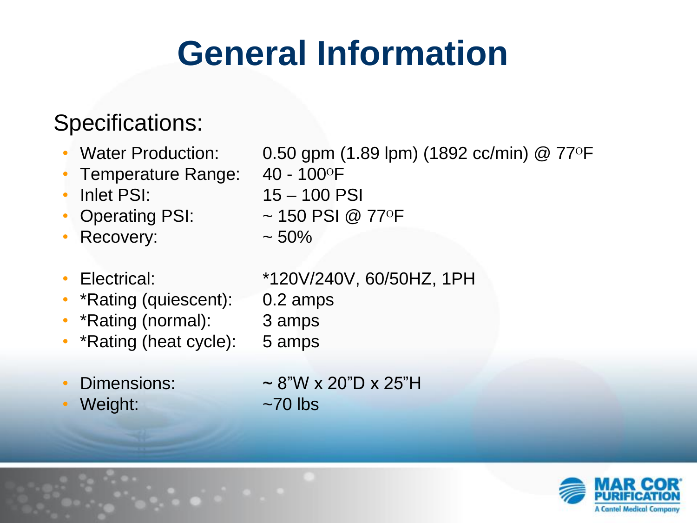## **General Information**

#### Specifications:

- 
- Temperature Range:  $40 100$ <sup>o</sup>F
- 
- 
- Recovery:  $\sim$  50%
- 
- \*Rating (quiescent): 0.2 amps
- \*Rating (normal): 3 amps
- \*Rating (heat cycle): 5 amps
- 
- Weight:  $\sim$ 70 lbs

• Water Production:  $0.50$  gpm (1.89 lpm) (1892 cc/min) @ 77 $\circ$ F

- 
- Inlet PSI: 15 100 PSI
	- Operating PSI:  $\sim$  150 PSI @ 77°F
		-

• Electrical: \*120V/240V, 60/50HZ, 1PH

- -
- 
- Dimensions:  $\sim 8"W \times 20"D \times 25"H$

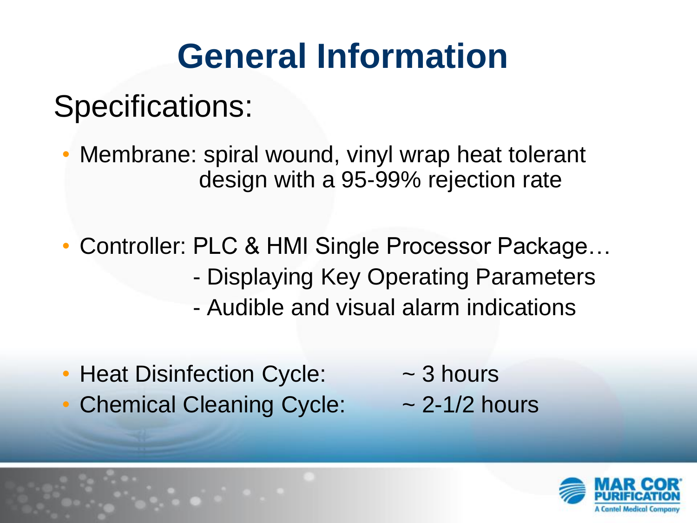### **General Information**

#### Specifications:

- Membrane: spiral wound, vinyl wrap heat tolerant design with a 95-99% rejection rate
- Controller: PLC & HMI Single Processor Package… - Displaying Key Operating Parameters - Audible and visual alarm indications
- Heat Disinfection Cycle:  $\sim$  3 hours
- Chemical Cleaning Cycle:  $\sim$  2-1/2 hours
- 

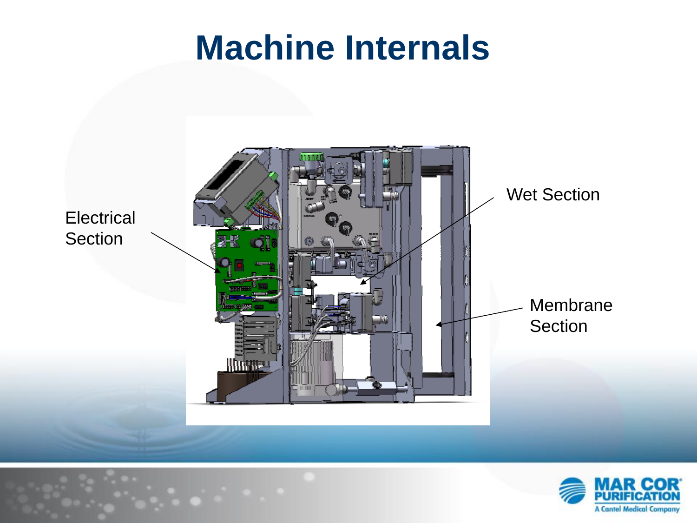#### **Machine Internals**



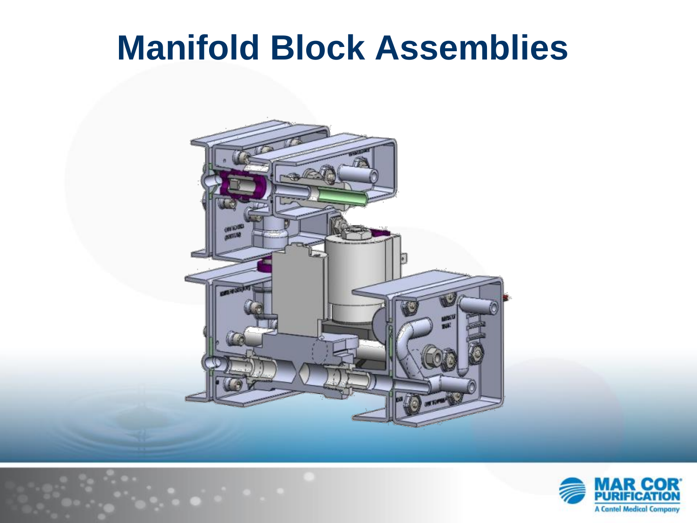#### **Manifold Block Assemblies**



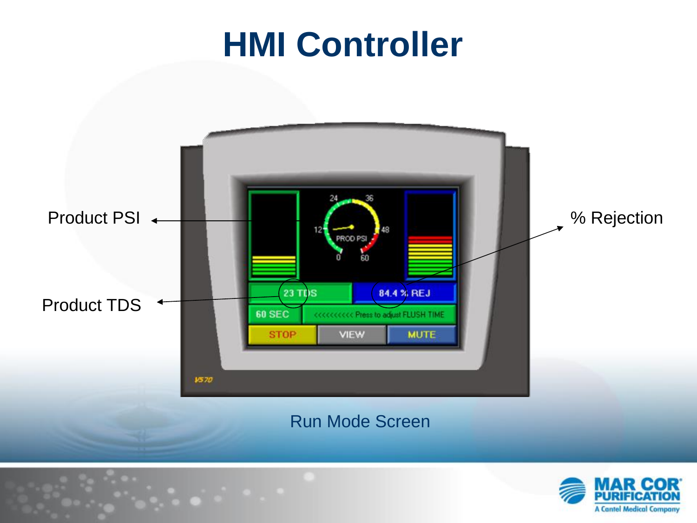#### **HMI Controller**



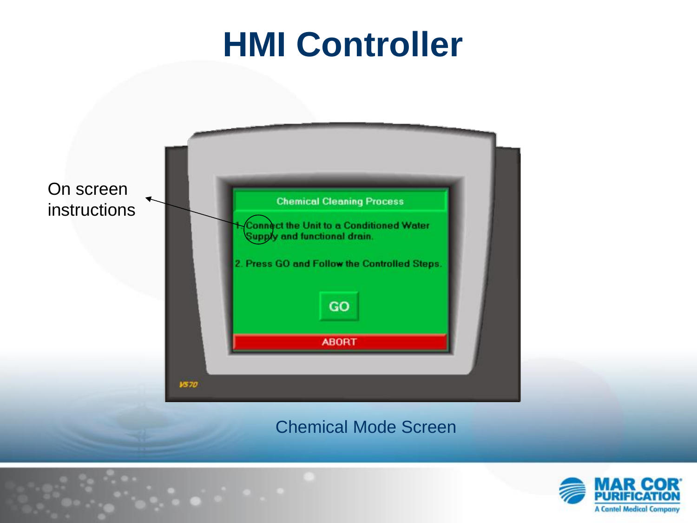#### **HMI Controller**



Chemical Mode Screen

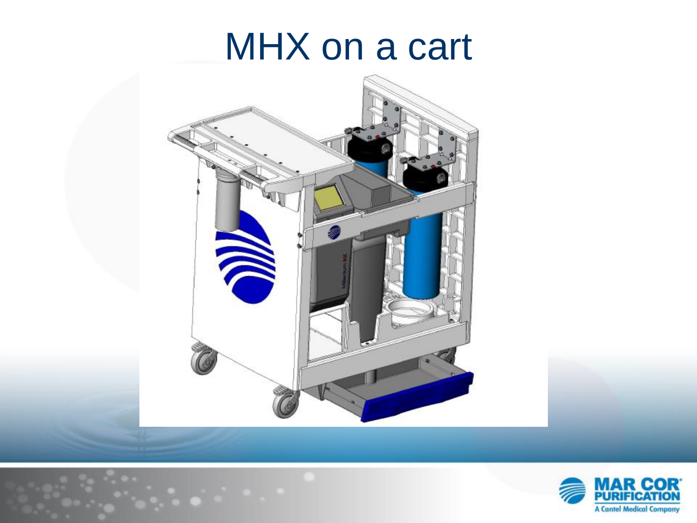### MHX on a cart